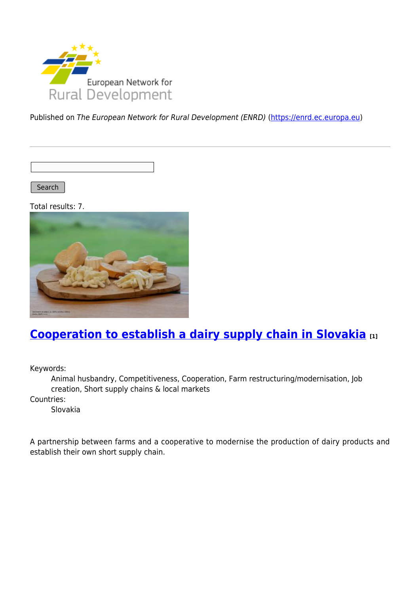

Published on The European Network for Rural Development (ENRD) [\(https://enrd.ec.europa.eu](https://enrd.ec.europa.eu))

Search

Total results: 7.



# **[Cooperation to establish a dairy supply chain in Slovakia](https://enrd.ec.europa.eu/projects-practice/cooperation-establish-dairy-supply-chain-slovakia_en) [1]**

Keywords:

Animal husbandry, Competitiveness, Cooperation, Farm restructuring/modernisation, Job creation, Short supply chains & local markets

Countries:

Slovakia

A partnership between farms and a cooperative to modernise the production of dairy products and establish their own short supply chain.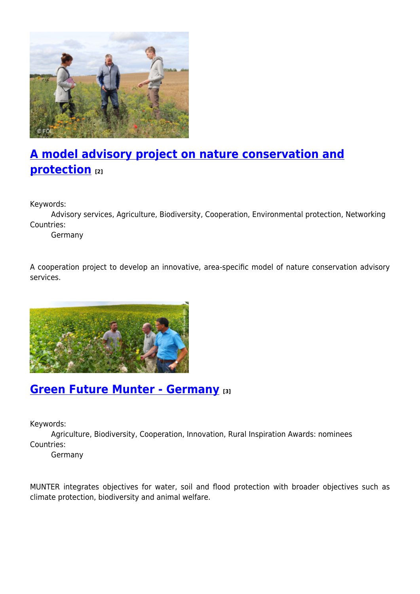

# **[A model advisory project on nature conservation and](https://enrd.ec.europa.eu/projects-practice/model-advisory-project-nature-conservation-and-protection_en) [protection](https://enrd.ec.europa.eu/projects-practice/model-advisory-project-nature-conservation-and-protection_en) [2]**

Keywords:

Advisory services, Agriculture, Biodiversity, Cooperation, Environmental protection, Networking Countries:

Germany

A cooperation project to develop an innovative, area-specific model of nature conservation advisory services.



## **[Green Future Munter - Germany](https://enrd.ec.europa.eu/projects-practice/green-future-munter-germany_en) [3]**

Keywords:

Agriculture, Biodiversity, Cooperation, Innovation, Rural Inspiration Awards: nominees Countries:

Germany

MUNTER integrates objectives for water, soil and flood protection with broader objectives such as climate protection, biodiversity and animal welfare.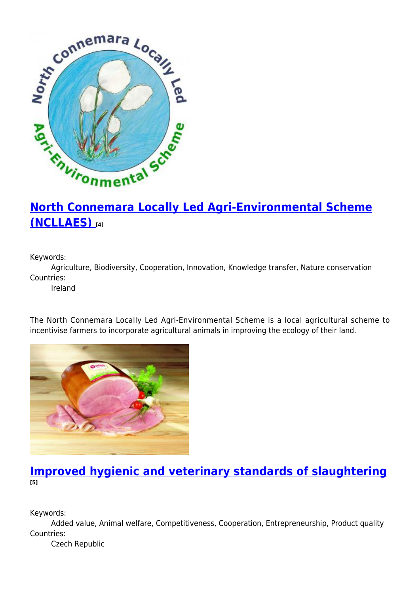

# **[North Connemara Locally Led Agri-Environmental Scheme](https://enrd.ec.europa.eu/projects-practice/north-connemara-locally-led-agri-environmental-scheme-ncllaes_en) [\(NCLLAES\)](https://enrd.ec.europa.eu/projects-practice/north-connemara-locally-led-agri-environmental-scheme-ncllaes_en) [4]**

Keywords:

Agriculture, Biodiversity, Cooperation, Innovation, Knowledge transfer, Nature conservation Countries:

Ireland

The North Connemara Locally Led Agri-Environmental Scheme is a local agricultural scheme to incentivise farmers to incorporate agricultural animals in improving the ecology of their land.



### **[Improved hygienic and veterinary standards of slaughtering](https://enrd.ec.europa.eu/projects-practice/improved-hygienic-and-veterinary-standards-slaughtering_en) [5]**

Keywords:

Added value, Animal welfare, Competitiveness, Cooperation, Entrepreneurship, Product quality Countries:

Czech Republic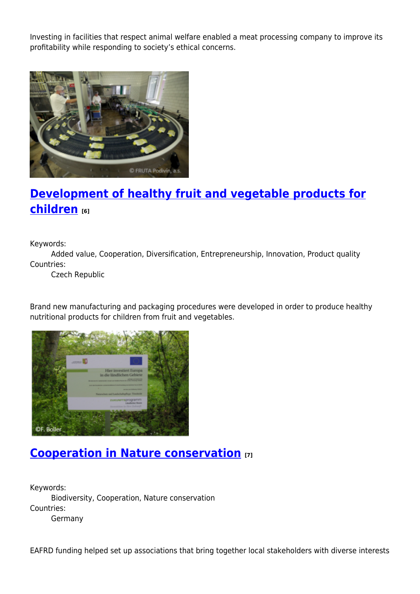Investing in facilities that respect animal welfare enabled a meat processing company to improve its profitability while responding to society's ethical concerns.



# **[Development of healthy fruit and vegetable products for](https://enrd.ec.europa.eu/projects-practice/development-healthy-fruit-and-vegetable-products-children_en) [children](https://enrd.ec.europa.eu/projects-practice/development-healthy-fruit-and-vegetable-products-children_en) [6]**

Keywords:

Added value, Cooperation, Diversification, Entrepreneurship, Innovation, Product quality Countries:

Czech Republic

Brand new manufacturing and packaging procedures were developed in order to produce healthy nutritional products for children from fruit and vegetables.



## **[Cooperation in Nature conservation](https://enrd.ec.europa.eu/projects-practice/cooperation-nature-conservation_en) [7]**

Keywords: Biodiversity, Cooperation, Nature conservation Countries: Germany

EAFRD funding helped set up associations that bring together local stakeholders with diverse interests